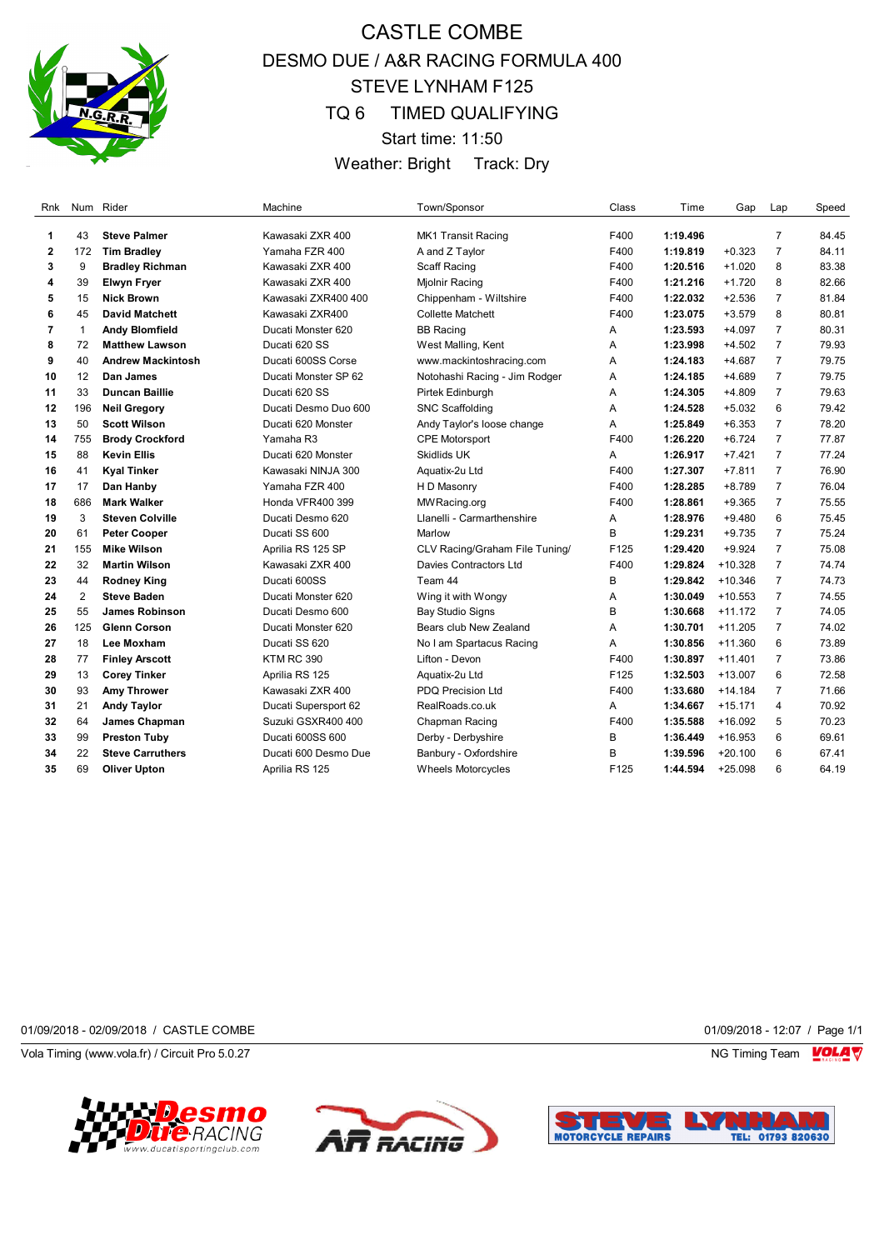

# CASTLE COMBE DESMO DUE / A&R RACING FORMULA 400 STEVE LYNHAM F125 TQ 6 TIMED QUALIFYING Start time: 11:50

Weather: Bright Track: Dry

| Rnk |              | Num Rider                | Machine                 | Town/Sponsor                   | Class | Time     | Gap       | Lap            | Speed |
|-----|--------------|--------------------------|-------------------------|--------------------------------|-------|----------|-----------|----------------|-------|
| 1   | 43           | <b>Steve Palmer</b>      | Kawasaki ZXR 400        | MK1 Transit Racing             | F400  | 1:19.496 |           | $\overline{7}$ | 84.45 |
| 2   | 172          | <b>Tim Bradley</b>       | Yamaha FZR 400          | A and Z Taylor                 | F400  | 1:19.819 | $+0.323$  | $\overline{7}$ | 84.11 |
| 3   | 9            | <b>Bradley Richman</b>   | Kawasaki ZXR 400        | Scaff Racing                   | F400  | 1:20.516 | $+1.020$  | 8              | 83.38 |
| 4   | 39           | <b>Elwyn Fryer</b>       | Kawasaki ZXR 400        | Mjolnir Racing                 | F400  | 1:21.216 | $+1.720$  | 8              | 82.66 |
| 5   | 15           | <b>Nick Brown</b>        | Kawasaki ZXR400 400     | Chippenham - Wiltshire         | F400  | 1:22.032 | $+2.536$  | $\overline{7}$ | 81.84 |
| 6   | 45           | <b>David Matchett</b>    | Kawasaki ZXR400         | <b>Collette Matchett</b>       | F400  | 1:23.075 | $+3.579$  | 8              | 80.81 |
| 7   | $\mathbf{1}$ | <b>Andy Blomfield</b>    | Ducati Monster 620      | <b>BB Racing</b>               | Α     | 1:23.593 | $+4.097$  | $\overline{7}$ | 80.31 |
| 8   | 72           | <b>Matthew Lawson</b>    | Ducati 620 SS           | West Malling, Kent             | A     | 1:23.998 | $+4.502$  | $\overline{7}$ | 79.93 |
| 9   | 40           | <b>Andrew Mackintosh</b> | Ducati 600SS Corse      | www.mackintoshracing.com       | Α     | 1:24.183 | $+4.687$  | $\overline{7}$ | 79.75 |
| 10  | 12           | Dan James                | Ducati Monster SP 62    | Notohashi Racing - Jim Rodger  | Α     | 1:24.185 | $+4.689$  | $\overline{7}$ | 79.75 |
| 11  | 33           | <b>Duncan Baillie</b>    | Ducati 620 SS           | Pirtek Edinburgh               | Α     | 1:24.305 | $+4.809$  | $\overline{7}$ | 79.63 |
| 12  | 196          | <b>Neil Gregory</b>      | Ducati Desmo Duo 600    | <b>SNC Scaffolding</b>         | A     | 1:24.528 | $+5.032$  | 6              | 79.42 |
| 13  | 50           | <b>Scott Wilson</b>      | Ducati 620 Monster      | Andy Taylor's loose change     | Α     | 1:25.849 | $+6.353$  | $\overline{7}$ | 78.20 |
| 14  | 755          | <b>Brody Crockford</b>   | Yamaha R3               | <b>CPE Motorsport</b>          | F400  | 1:26.220 | $+6.724$  | $\overline{7}$ | 77.87 |
| 15  | 88           | <b>Kevin Ellis</b>       | Ducati 620 Monster      | <b>Skidlids UK</b>             | Α     | 1:26.917 | $+7.421$  | $\overline{7}$ | 77.24 |
| 16  | 41           | <b>Kyal Tinker</b>       | Kawasaki NINJA 300      | Aquatix-2u Ltd                 | F400  | 1:27.307 | $+7.811$  | $\overline{7}$ | 76.90 |
| 17  | 17           | Dan Hanby                | Yamaha FZR 400          | H D Masonry                    | F400  | 1:28.285 | $+8.789$  | $\overline{7}$ | 76.04 |
| 18  | 686          | <b>Mark Walker</b>       | <b>Honda VFR400 399</b> | MW Racing.org                  | F400  | 1:28.861 | $+9.365$  | $\overline{7}$ | 75.55 |
| 19  | 3            | <b>Steven Colville</b>   | Ducati Desmo 620        | Llanelli - Carmarthenshire     | Α     | 1:28.976 | $+9.480$  | 6              | 75.45 |
| 20  | 61           | <b>Peter Cooper</b>      | Ducati SS 600           | Marlow                         | B     | 1:29.231 | $+9.735$  | $\overline{7}$ | 75.24 |
| 21  | 155          | <b>Mike Wilson</b>       | Aprilia RS 125 SP       | CLV Racing/Graham File Tuning/ | F125  | 1:29.420 | $+9.924$  | $\overline{7}$ | 75.08 |
| 22  | 32           | <b>Martin Wilson</b>     | Kawasaki ZXR 400        | Davies Contractors Ltd         | F400  | 1:29.824 | $+10.328$ | $\overline{7}$ | 74.74 |
| 23  | 44           | <b>Rodney King</b>       | Ducati 600SS            | Team 44                        | B     | 1:29.842 | $+10.346$ | $\overline{7}$ | 74.73 |
| 24  | 2            | <b>Steve Baden</b>       | Ducati Monster 620      | Wing it with Wongy             | Α     | 1:30.049 | $+10.553$ | $\overline{7}$ | 74.55 |
| 25  | 55           | <b>James Robinson</b>    | Ducati Desmo 600        | <b>Bay Studio Signs</b>        | B     | 1:30.668 | $+11.172$ | $\overline{7}$ | 74.05 |
| 26  | 125          | <b>Glenn Corson</b>      | Ducati Monster 620      | Bears club New Zealand         | A     | 1:30.701 | $+11.205$ | $\overline{7}$ | 74.02 |
| 27  | 18           | Lee Moxham               | Ducati SS 620           | No I am Spartacus Racing       | Α     | 1:30.856 | $+11.360$ | 6              | 73.89 |
| 28  | 77           | <b>Finley Arscott</b>    | <b>KTM RC 390</b>       | Lifton - Devon                 | F400  | 1:30.897 | $+11.401$ | $\overline{7}$ | 73.86 |
| 29  | 13           | <b>Corey Tinker</b>      | Aprilia RS 125          | Aquatix-2u Ltd                 | F125  | 1:32.503 | $+13.007$ | 6              | 72.58 |
| 30  | 93           | Amy Thrower              | Kawasaki ZXR 400        | <b>PDQ Precision Ltd</b>       | F400  | 1:33.680 | $+14.184$ | $\overline{7}$ | 71.66 |
| 31  | 21           | <b>Andy Taylor</b>       | Ducati Supersport 62    | RealRoads.co.uk                | A     | 1:34.667 | $+15.171$ | 4              | 70.92 |
| 32  | 64           | James Chapman            | Suzuki GSXR400 400      | Chapman Racing                 | F400  | 1:35.588 | $+16.092$ | 5              | 70.23 |
| 33  | 99           | <b>Preston Tuby</b>      | Ducati 600SS 600        | Derby - Derbyshire             | B     | 1:36.449 | $+16.953$ | 6              | 69.61 |
| 34  | 22           | <b>Steve Carruthers</b>  | Ducati 600 Desmo Due    | Banbury - Oxfordshire          | B     | 1:39.596 | $+20.100$ | 6              | 67.41 |
| 35  | 69           | <b>Oliver Upton</b>      | Aprilia RS 125          | <b>Wheels Motorcycles</b>      | F125  | 1:44.594 | $+25.098$ | 6              | 64.19 |

01/09/2018 - 02/09/2018 / CASTLE COMBE 01/09/2018 - 12:07 / Page 1/1

Vola Timing (www.vola.fr) / Circuit Pro 5.0.27 NG Timing Team Note that the Subset of the Subset of the Subset of the Subset of the Subset of the Subset of the Subset of the Subset of the Subset of the Subset of the Subset





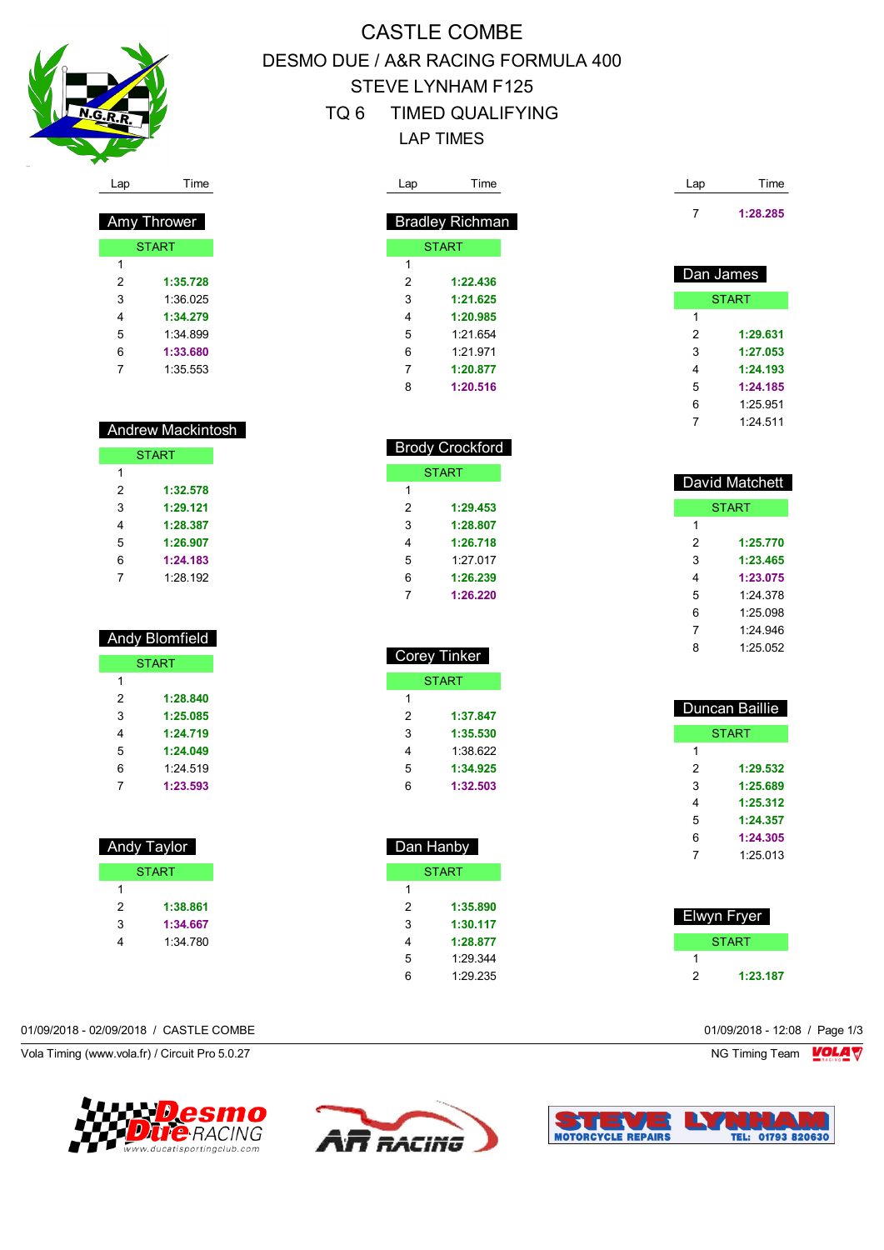

# CASTLE COMBE DESMO DUE / A&R RACING FORMULA 400 STEVE LYNHAM F125 TQ 6 TIMED QUALIFYING LAP TIMES

| Lap            | Time                  | Lap                     | Time                   | Lap                     | Time           |
|----------------|-----------------------|-------------------------|------------------------|-------------------------|----------------|
|                | Amy Thrower           |                         | <b>Bradley Richman</b> | $\overline{7}$          | 1:28.285       |
|                | <b>START</b>          |                         | <b>START</b>           |                         |                |
| $\mathbf{1}$   |                       | $\mathbf{1}$            |                        |                         |                |
| 2              | 1:35.728              | 2                       | 1:22.436               | Dan James               |                |
| 3              | 1:36.025              | 3                       | 1:21.625               |                         | <b>START</b>   |
| 4              | 1:34.279              | 4                       | 1:20.985               | $\mathbf{1}$            |                |
| 5              | 1:34.899              | 5                       | 1:21.654               | $\overline{2}$          | 1:29.631       |
| 6              | 1:33.680              | 6                       | 1:21.971               | 3                       | 1:27.053       |
| 7              | 1:35.553              | 7                       | 1:20.877               | 4                       | 1:24.193       |
|                |                       | 8                       | 1:20.516               | 5                       | 1:24.185       |
|                |                       |                         |                        | 6                       | 1:25.951       |
|                | Andrew Mackintosh     |                         |                        | $\overline{7}$          | 1:24.511       |
|                | <b>START</b>          |                         | <b>Brody Crockford</b> |                         |                |
| $\mathbf{1}$   |                       |                         | <b>START</b>           |                         |                |
| 2              | 1:32.578              | $\mathbf{1}$            |                        |                         | David Matchett |
| 3              | 1:29.121              | $\overline{c}$          | 1:29.453               |                         | <b>START</b>   |
| 4              | 1:28.387              | 3                       | 1:28.807               | $\mathbf{1}$            |                |
| 5              | 1:26.907              | 4                       | 1:26.718               | $\overline{\mathbf{c}}$ | 1:25.770       |
| 6              | 1:24.183              | 5                       | 1:27.017               | 3                       | 1:23.465       |
| $\overline{7}$ | 1:28.192              | 6                       | 1:26.239               | 4                       | 1:23.075       |
|                |                       | $\overline{7}$          | 1:26.220               | 5                       | 1:24.378       |
|                |                       |                         |                        | 6                       | 1:25.098       |
|                | <b>Andy Blomfield</b> |                         |                        | 7                       | 1:24.946       |
|                |                       |                         | <b>Corey Tinker</b>    | 8                       | 1:25.052       |
|                | <b>START</b>          |                         |                        |                         |                |
| $\mathbf{1}$   |                       |                         | <b>START</b>           |                         |                |
| 2              | 1:28.840              | $\mathbf{1}$            |                        |                         | Duncan Baillie |
| 3              | 1:25.085              | $\overline{\mathbf{c}}$ | 1:37.847               |                         |                |
| 4              | 1:24.719              | 3                       | 1:35.530               |                         | <b>START</b>   |
| 5              | 1:24.049              | 4                       | 1:38.622               | $\mathbf{1}$            |                |
| 6              | 1:24.519              | 5                       | 1:34.925               | $\overline{\mathbf{c}}$ | 1:29.532       |
| 7              | 1:23.593              | 6                       | 1:32.503               | 3                       | 1:25.689       |
|                |                       |                         |                        | 4                       | 1:25.312       |
|                |                       |                         |                        | 5                       | 1:24.357       |
|                | Andy Taylor           |                         | Dan Hanby              | 6                       | 1:24.305       |
|                | <b>START</b>          |                         | <b>START</b>           | $\overline{7}$          | 1:25.013       |
| $\mathbf{1}$   |                       | $\mathbf{1}$            |                        |                         |                |
| $\sqrt{2}$     | 1:38.861              | $\boldsymbol{2}$        | 1:35.890               |                         |                |
| 3              | 1:34.667              | 3                       | 1:30.117               |                         | Elwyn Fryer    |
| 4              | 1:34.780              | 4                       | 1:28.877               |                         | <b>START</b>   |
|                |                       | 5                       | 1:29.344               | 1                       |                |
|                |                       | 6                       | 1:29.235               | $\sqrt{2}$              | 1:23.187       |
|                |                       |                         |                        |                         |                |

#### 01/09/2018 - 02/09/2018 / CASTLE COMBE 01/09/2018 - 12:08 / Page 1/3

Vola Timing (www.vola.fr) / Circuit Pro 5.0.27 NG Timing Team Muslem Control of the Superior Section 1997 NG Timing Team Muslem Team Muslem Team Muslem Team Muslem Team Muslem Team Muslem Team Muslem Team Muslem Team Musle





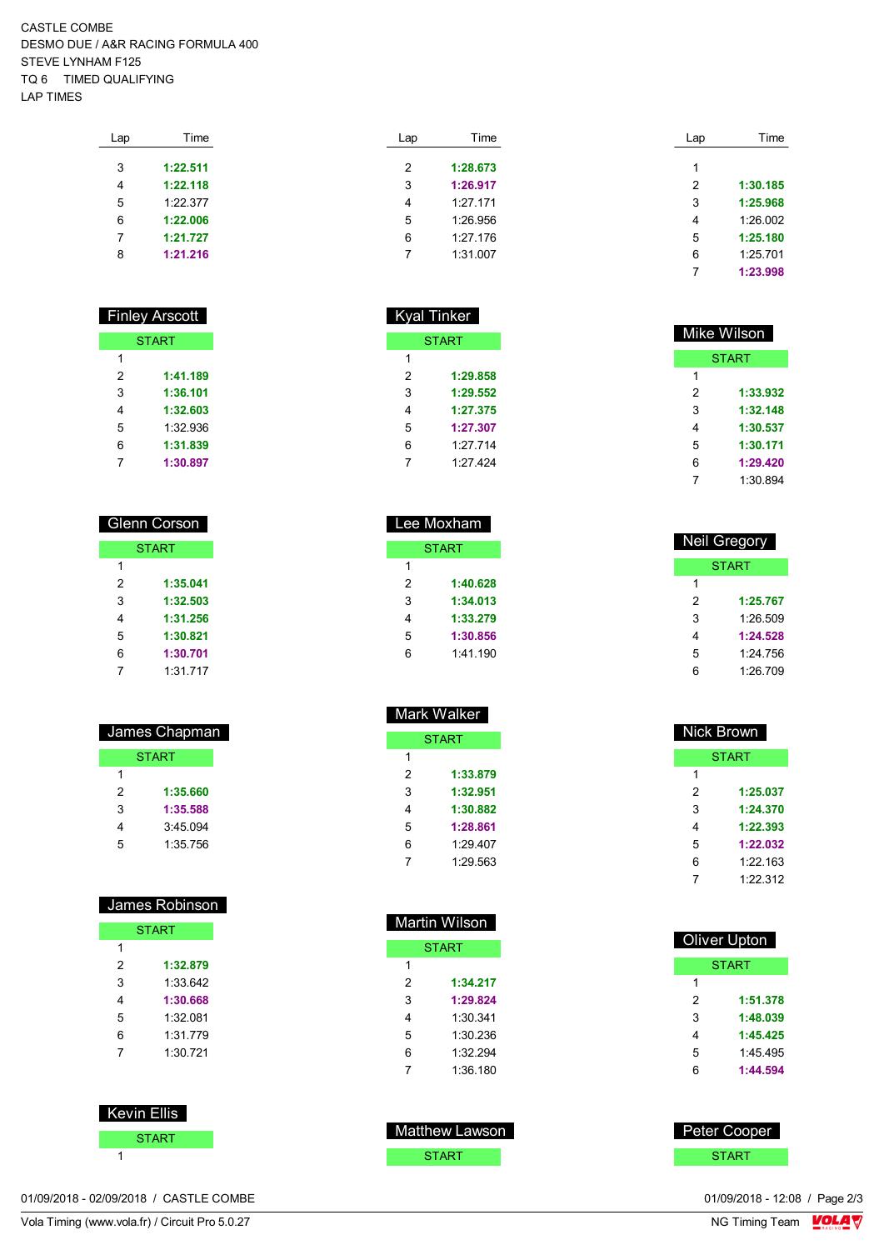CASTLE COMBE DESMO DUE / A&R RACING FORMULA 400 STEVE LYNHAM F125 TQ 6 TIMED QUALIFYING LAP TIMES

| Lap | Time     |  |
|-----|----------|--|
| 3   | 1:22.511 |  |
| 4   | 1:22.118 |  |
| 5   | 1.2237   |  |
| 6   | 1:22.006 |  |
| 7   | 1:21.727 |  |
| 8   | 1:21.216 |  |
|     |          |  |

| <b>Finley Arscott</b> |          |  |  |  |
|-----------------------|----------|--|--|--|
| <b>START</b>          |          |  |  |  |
| 1                     |          |  |  |  |
| 2                     | 1:41.189 |  |  |  |
| 3                     | 1:36.101 |  |  |  |
| 4                     | 1:32.603 |  |  |  |
| 5                     | 1:32.936 |  |  |  |
| 6                     | 1:31.839 |  |  |  |
| 7                     | 1:30.897 |  |  |  |

| Glenn Corson |              |  |
|--------------|--------------|--|
|              | <b>START</b> |  |
| 1            |              |  |
| 2            | 1:35.041     |  |
| 3            | 1:32.503     |  |
| 4            | 1:31.256     |  |
| 5            | 1:30.821     |  |
| 6            | 1:30.701     |  |
| 7            | 1:31 717     |  |

| James Chapman |              |  |
|---------------|--------------|--|
|               | <b>START</b> |  |
| 1             |              |  |
| 2             | 1:35.660     |  |
| 3             | 1:35.588     |  |
| 4             | 3:45.094     |  |
| 5             | 1:35 756     |  |
|               |              |  |

| James Robinson |              |  |  |  |
|----------------|--------------|--|--|--|
|                | <b>START</b> |  |  |  |
| 1              |              |  |  |  |
| 2              | 1:32.879     |  |  |  |
| 3              | 1:33.642     |  |  |  |
| 4              | 1:30.668     |  |  |  |
| 5              | 1:32 081     |  |  |  |
| 6              | 1:31 779     |  |  |  |
| 7              | 1:30.721     |  |  |  |
|                |              |  |  |  |

 Kevin Ellis **START** 

Lap Time **1:28.673 1:26.917** 1:27.171 1:26.956 1:27.176 1:31.007

Kyal Tinker

**START** 

 **1:29.858 1:29.552 1:27.375 1:27.307** 1:27.714 1:27.424

 Lee Moxham **START** 

> **1:40.628 1:34.013 1:33.279 1:30.856** 1:41.190

| Time     |
|----------|
|          |
|          |
| 1:30.185 |
| 1:25.968 |
| 1:26.002 |
| 1:25.180 |
| 1:25.701 |
| 1:23.998 |
|          |

| Mike Wilson |              |  |
|-------------|--------------|--|
|             | <b>START</b> |  |
| 1           |              |  |
| 2           | 1:33.932     |  |
| 3           | 1:32.148     |  |
| 4           | 1:30.537     |  |
| 5           | 1:30.171     |  |
| 6           | 1:29.420     |  |
|             | 1:30.894     |  |

| <b>Neil Gregory</b> |          |  |  |  |
|---------------------|----------|--|--|--|
|                     | START    |  |  |  |
| 1                   |          |  |  |  |
| 2                   | 1:25.767 |  |  |  |
| 3                   | 1.26.509 |  |  |  |
| 4                   | 1:24.528 |  |  |  |
| 5                   | 1:24 756 |  |  |  |
| հ                   | 1:26.709 |  |  |  |

| Mark Walker |              |  |  |
|-------------|--------------|--|--|
|             | <b>START</b> |  |  |
| 1           |              |  |  |
| 2           | 1:33.879     |  |  |
| 3           | 1:32.951     |  |  |
| 4           | 1:30.882     |  |  |
| 5           | 1:28.861     |  |  |
| 6           | 1:29.407     |  |  |
|             | 1:29.563     |  |  |

| Martin Wilson |              |  |  |  |
|---------------|--------------|--|--|--|
|               | <b>START</b> |  |  |  |
| 1             |              |  |  |  |
| 2             | 1:34.217     |  |  |  |
| 3             | 1:29.824     |  |  |  |
| 4             | 1:30.341     |  |  |  |
| 5             | 1:30 236     |  |  |  |
| 6             | 1:32.294     |  |  |  |
| 7             | 1:36 180     |  |  |  |

| Matthew Lawson |  |
|----------------|--|
| <b>START</b>   |  |

| Nick Brown |              |
|------------|--------------|
|            | <b>START</b> |
| 1          |              |
| 2          | 1:25.037     |
| 3          | 1:24.370     |
| 4          | 1:22.393     |
| 5          | 1:22.032     |
| 6          | 1:22.163     |
| 7          | 1.22.312     |
|            |              |

| <b>Oliver Upton</b> |          |  |
|---------------------|----------|--|
|                     | START    |  |
| 1                   |          |  |
| 2                   | 1:51.378 |  |
| 3                   | 1:48.039 |  |
| 4                   | 1:45.425 |  |
| 5                   | 1.45495  |  |
| հ                   | 1:44.594 |  |

 Peter Cooper **START** 

01/09/2018 - 02/09/2018 / CASTLE COMBE

Vola Timing (www.vola.fr) / Circuit Pro 5.0.27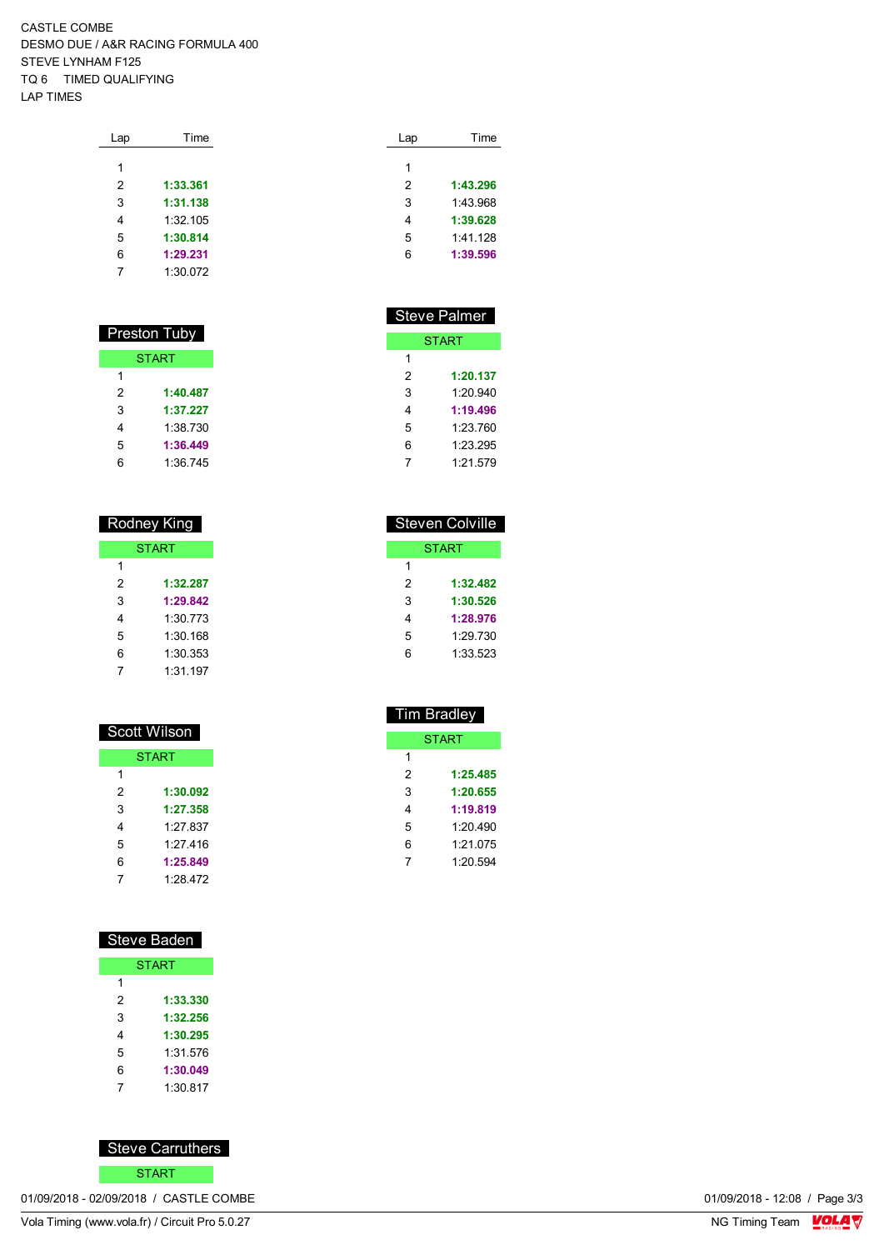CASTLE COMBE DESMO DUE / A&R RACING FORMULA 400 STEVE LYNHAM F125 TQ 6 TIMED QUALIFYING LAP TIMES

| Lap | Time     |
|-----|----------|
| 1   |          |
|     |          |
| 2   | 1:33.361 |
| 3   | 1:31.138 |
| 4   | 1:32.105 |
| 5   | 1:30.814 |
| 6   | 1:29.231 |
| 7   | 1:30.072 |
|     |          |

| Preston Tuby |              |
|--------------|--------------|
|              | <b>START</b> |
| 1            |              |
| 2            | 1:40.487     |
| 3            | 1:37.227     |
| 4            | 1:38.730     |
| 5            | 1:36.449     |
| $\epsilon$   | 1:36.745     |

#### Rodney King **START**

|   | .        |
|---|----------|
| 1 |          |
| 2 | 1:32.287 |
| 3 | 1:29.842 |
| 4 | 1:30 773 |
| 5 | 1:30.168 |
| 6 | 1:30.353 |
|   | 1:31.197 |

| Scott Wilson |              |
|--------------|--------------|
|              | <b>START</b> |
| 1            |              |
| 2            | 1:30.092     |
| 3            | 1:27.358     |
| 4            | $1.27$ 837   |
| 5            | 1.27416      |
| 6            | 1:25.849     |
| 7            | 1:28.472     |

# Steve Baden **START**

| 1 |          |
|---|----------|
| 2 | 1:33.330 |
| 3 | 1:32.256 |
| 4 | 1:30.295 |
| 5 | 1:31.576 |
| 6 | 1:30.049 |
|   | 1:30.817 |



01/09/2018 - 02/09/2018 / CASTLE COMBE

| Lap | Time     |
|-----|----------|
|     |          |
| 1   |          |
| 2   | 1:43.296 |
| 3   | 1.43968  |
| 4   | 1:39.628 |
| 5   | 1.41128  |
| 6   | 1:39.596 |
|     |          |

| Steve Palmer |              |
|--------------|--------------|
|              | <b>START</b> |
| 1            |              |
| 2            | 1:20.137     |
| 3            | 1:20.940     |
| 4            | 1:19.496     |
| 5            | 1:23.760     |
| 6            | 1:23.295     |
| 7            | 1.21.579     |
|              |              |

| <b>Steven Colville</b> |          |  |
|------------------------|----------|--|
|                        | START    |  |
| 1                      |          |  |
| 2                      | 1:32.482 |  |
| 3                      | 1:30.526 |  |
| 4                      | 1:28.976 |  |
| 5                      | 1.29 730 |  |
| հ                      | 1:33.523 |  |
|                        |          |  |

| Tim Bradley  |  |
|--------------|--|
| <b>START</b> |  |
|              |  |
| 1:25.485     |  |
| 1:20.655     |  |
| 1:19.819     |  |
| 1:20490      |  |
| 1:21.075     |  |
| 1:20.594     |  |
|              |  |

 $T<sub>B</sub>$ 

01/09/2018 - 12:08 / Page 3/3<br>NG Timing Team  $\frac{\text{VOLA}}{\text{V}}$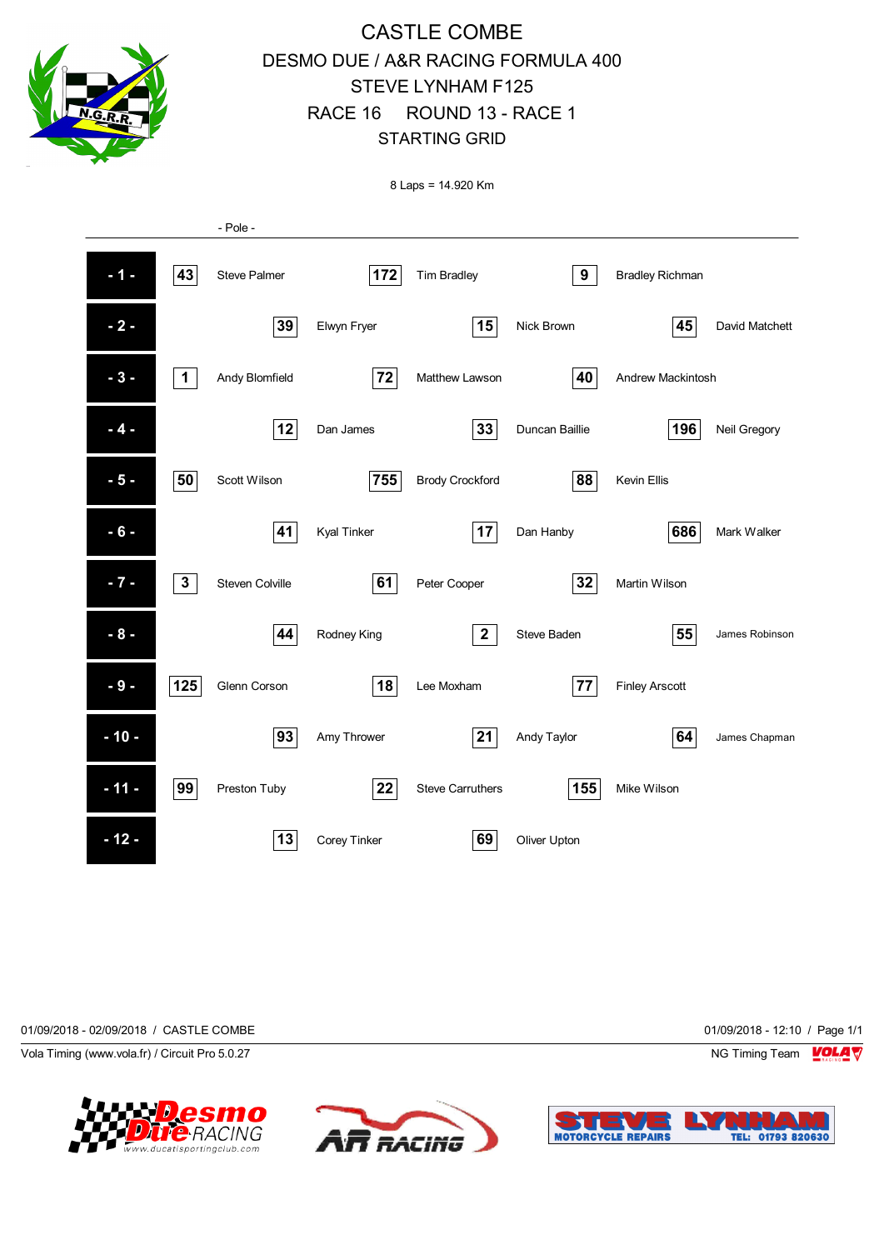

# CASTLE COMBE DESMO DUE / A&R RACING FORMULA 400 STEVE LYNHAM F125 RACE 16 ROUND 13 - RACE 1 STARTING GRID

8 Laps = 14.920 Km



01/09/2018 - 02/09/2018 / CASTLE COMBE 01/09/2018 - 12:10 / Page 1/1

Vola Timing (www.vola.fr) / Circuit Pro 5.0.27 NG Timing Team Notice that the Subset of the Subset of the Subset of the Subset of the Subset of the Subset of the Subset of the Subset of the Subset of the Subset of the Subs





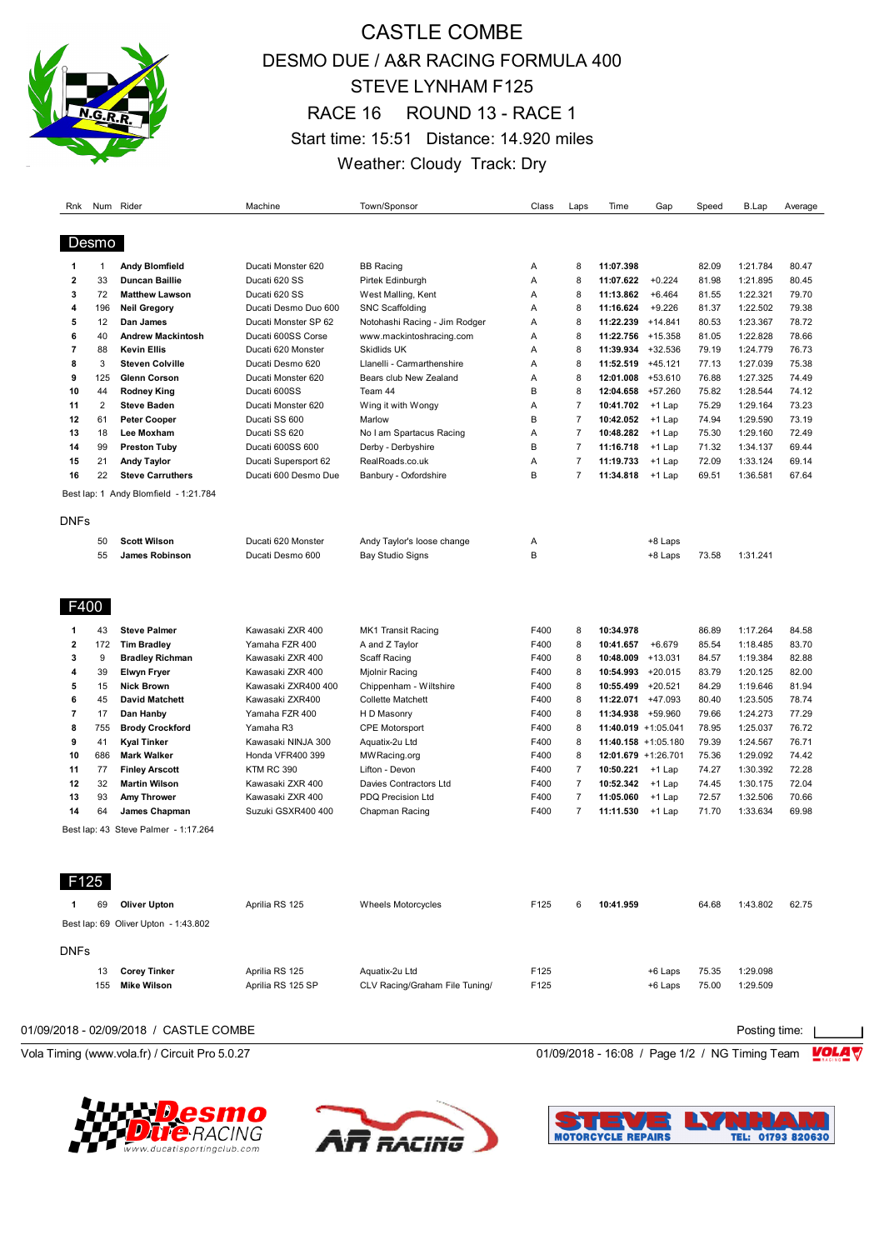

# CASTLE COMBE DESMO DUE / A&R RACING FORMULA 400 STEVE LYNHAM F125 RACE 16 ROUND 13 - RACE 1 Start time: 15:51 Distance: 14.920 miles Weather: Cloudy Track: Dry

| Rnk                                                                                                         |                                                                                    | Num Rider                                                                                                                                                                                                                                                                                                                                           | Machine                                                                                                                                                                                                                                                                          | Town/Sponsor                                                                                                                                                                                                                                                                               | Class                                                                                                        | Laps                                                                                                                   | Time                                                                                                                                                                                                                             | Gap                                                                                   | Speed                                                                                                                      | <b>B.Lap</b>                                                                                                                                                         | Average                                                                                                                    |
|-------------------------------------------------------------------------------------------------------------|------------------------------------------------------------------------------------|-----------------------------------------------------------------------------------------------------------------------------------------------------------------------------------------------------------------------------------------------------------------------------------------------------------------------------------------------------|----------------------------------------------------------------------------------------------------------------------------------------------------------------------------------------------------------------------------------------------------------------------------------|--------------------------------------------------------------------------------------------------------------------------------------------------------------------------------------------------------------------------------------------------------------------------------------------|--------------------------------------------------------------------------------------------------------------|------------------------------------------------------------------------------------------------------------------------|----------------------------------------------------------------------------------------------------------------------------------------------------------------------------------------------------------------------------------|---------------------------------------------------------------------------------------|----------------------------------------------------------------------------------------------------------------------------|----------------------------------------------------------------------------------------------------------------------------------------------------------------------|----------------------------------------------------------------------------------------------------------------------------|
|                                                                                                             | Desmo                                                                              |                                                                                                                                                                                                                                                                                                                                                     |                                                                                                                                                                                                                                                                                  |                                                                                                                                                                                                                                                                                            |                                                                                                              |                                                                                                                        |                                                                                                                                                                                                                                  |                                                                                       |                                                                                                                            |                                                                                                                                                                      |                                                                                                                            |
| -1                                                                                                          | $\mathbf{1}$                                                                       | <b>Andy Blomfield</b>                                                                                                                                                                                                                                                                                                                               | Ducati Monster 620                                                                                                                                                                                                                                                               | <b>BB</b> Racing                                                                                                                                                                                                                                                                           | Α                                                                                                            | 8                                                                                                                      | 11:07.398                                                                                                                                                                                                                        |                                                                                       | 82.09                                                                                                                      | 1:21.784                                                                                                                                                             | 80.47                                                                                                                      |
| $\overline{2}$                                                                                              | 33                                                                                 | <b>Duncan Baillie</b>                                                                                                                                                                                                                                                                                                                               | Ducati 620 SS                                                                                                                                                                                                                                                                    | Pirtek Edinburgh                                                                                                                                                                                                                                                                           | Α                                                                                                            | 8                                                                                                                      | 11:07.622                                                                                                                                                                                                                        | $+0.224$                                                                              | 81.98                                                                                                                      | 1:21.895                                                                                                                                                             | 80.45                                                                                                                      |
| 3                                                                                                           | 72                                                                                 | <b>Matthew Lawson</b>                                                                                                                                                                                                                                                                                                                               | Ducati 620 SS                                                                                                                                                                                                                                                                    | West Malling, Kent                                                                                                                                                                                                                                                                         | Α                                                                                                            | 8                                                                                                                      | 11:13.862                                                                                                                                                                                                                        | $+6.464$                                                                              | 81.55                                                                                                                      | 1:22.321                                                                                                                                                             | 79.70                                                                                                                      |
|                                                                                                             |                                                                                    |                                                                                                                                                                                                                                                                                                                                                     |                                                                                                                                                                                                                                                                                  |                                                                                                                                                                                                                                                                                            |                                                                                                              | 8                                                                                                                      |                                                                                                                                                                                                                                  | $+9.226$                                                                              |                                                                                                                            |                                                                                                                                                                      | 79.38                                                                                                                      |
| 4                                                                                                           | 196                                                                                | <b>Neil Gregory</b>                                                                                                                                                                                                                                                                                                                                 | Ducati Desmo Duo 600                                                                                                                                                                                                                                                             | <b>SNC Scaffolding</b>                                                                                                                                                                                                                                                                     | Α                                                                                                            |                                                                                                                        | 11:16.624                                                                                                                                                                                                                        |                                                                                       | 81.37                                                                                                                      | 1:22.502                                                                                                                                                             |                                                                                                                            |
| 5                                                                                                           | 12                                                                                 | Dan James                                                                                                                                                                                                                                                                                                                                           | Ducati Monster SP 62                                                                                                                                                                                                                                                             | Notohashi Racing - Jim Rodger                                                                                                                                                                                                                                                              | A                                                                                                            | 8                                                                                                                      | 11:22.239                                                                                                                                                                                                                        | $+14.841$                                                                             | 80.53                                                                                                                      | 1:23.367                                                                                                                                                             | 78.72                                                                                                                      |
| 6                                                                                                           | 40                                                                                 | <b>Andrew Mackintosh</b>                                                                                                                                                                                                                                                                                                                            | Ducati 600SS Corse                                                                                                                                                                                                                                                               | www.mackintoshracing.com                                                                                                                                                                                                                                                                   | Α                                                                                                            | 8                                                                                                                      | 11:22.756 +15.358                                                                                                                                                                                                                |                                                                                       | 81.05                                                                                                                      | 1:22.828                                                                                                                                                             | 78.66                                                                                                                      |
| $\overline{7}$                                                                                              | 88                                                                                 | <b>Kevin Ellis</b>                                                                                                                                                                                                                                                                                                                                  | Ducati 620 Monster                                                                                                                                                                                                                                                               | Skidlids UK                                                                                                                                                                                                                                                                                | Α                                                                                                            | 8                                                                                                                      | 11:39.934                                                                                                                                                                                                                        | $+32.536$                                                                             | 79.19                                                                                                                      | 1:24.779                                                                                                                                                             | 76.73                                                                                                                      |
| 8                                                                                                           | 3                                                                                  | <b>Steven Colville</b>                                                                                                                                                                                                                                                                                                                              | Ducati Desmo 620                                                                                                                                                                                                                                                                 | Llanelli - Carmarthenshire                                                                                                                                                                                                                                                                 | Α                                                                                                            | 8                                                                                                                      | 11:52.519                                                                                                                                                                                                                        | $+45.121$                                                                             | 77.13                                                                                                                      | 1:27.039                                                                                                                                                             | 75.38                                                                                                                      |
| 9                                                                                                           | 125                                                                                | <b>Glenn Corson</b>                                                                                                                                                                                                                                                                                                                                 | Ducati Monster 620                                                                                                                                                                                                                                                               | Bears club New Zealand                                                                                                                                                                                                                                                                     | Α                                                                                                            | 8                                                                                                                      | 12:01.008                                                                                                                                                                                                                        | $+53.610$                                                                             | 76.88                                                                                                                      | 1:27.325                                                                                                                                                             | 74.49                                                                                                                      |
| 10                                                                                                          | 44                                                                                 | <b>Rodney King</b>                                                                                                                                                                                                                                                                                                                                  | Ducati 600SS                                                                                                                                                                                                                                                                     | Team 44                                                                                                                                                                                                                                                                                    | B                                                                                                            | 8                                                                                                                      | 12:04.658                                                                                                                                                                                                                        | $+57.260$                                                                             | 75.82                                                                                                                      | 1:28.544                                                                                                                                                             | 74.12                                                                                                                      |
| 11                                                                                                          | $\overline{2}$                                                                     | <b>Steve Baden</b>                                                                                                                                                                                                                                                                                                                                  | Ducati Monster 620                                                                                                                                                                                                                                                               | Wing it with Wongy                                                                                                                                                                                                                                                                         | Α                                                                                                            | $\overline{7}$                                                                                                         | 10:41.702                                                                                                                                                                                                                        | $+1$ Lap                                                                              | 75.29                                                                                                                      | 1:29.164                                                                                                                                                             | 73.23                                                                                                                      |
| 12                                                                                                          | 61                                                                                 | <b>Peter Cooper</b>                                                                                                                                                                                                                                                                                                                                 | Ducati SS 600                                                                                                                                                                                                                                                                    | Marlow                                                                                                                                                                                                                                                                                     | B                                                                                                            | $\overline{7}$                                                                                                         | 10:42.052                                                                                                                                                                                                                        | $+1$ Lap                                                                              | 74.94                                                                                                                      | 1:29.590                                                                                                                                                             | 73.19                                                                                                                      |
| 13                                                                                                          | 18                                                                                 | Lee Moxham                                                                                                                                                                                                                                                                                                                                          | Ducati SS 620                                                                                                                                                                                                                                                                    | No I am Spartacus Racing                                                                                                                                                                                                                                                                   | A                                                                                                            | $\overline{7}$                                                                                                         | 10:48.282                                                                                                                                                                                                                        | +1 Lap                                                                                | 75.30                                                                                                                      | 1:29.160                                                                                                                                                             | 72.49                                                                                                                      |
| 14                                                                                                          | 99                                                                                 | <b>Preston Tuby</b>                                                                                                                                                                                                                                                                                                                                 | Ducati 600SS 600                                                                                                                                                                                                                                                                 | Derby - Derbyshire                                                                                                                                                                                                                                                                         | B                                                                                                            | $\overline{7}$                                                                                                         | 11:16.718                                                                                                                                                                                                                        | $+1$ Lap                                                                              | 71.32                                                                                                                      | 1:34.137                                                                                                                                                             | 69.44                                                                                                                      |
| 15                                                                                                          | 21                                                                                 | <b>Andy Taylor</b>                                                                                                                                                                                                                                                                                                                                  | Ducati Supersport 62                                                                                                                                                                                                                                                             | RealRoads.co.uk                                                                                                                                                                                                                                                                            | Α                                                                                                            | $\overline{7}$                                                                                                         | 11:19.733                                                                                                                                                                                                                        | $+1$ Lap                                                                              | 72.09                                                                                                                      | 1:33.124                                                                                                                                                             | 69.14                                                                                                                      |
| 16                                                                                                          | 22                                                                                 | <b>Steve Carruthers</b>                                                                                                                                                                                                                                                                                                                             | Ducati 600 Desmo Due                                                                                                                                                                                                                                                             | Banbury - Oxfordshire                                                                                                                                                                                                                                                                      | B                                                                                                            | $\overline{7}$                                                                                                         | 11:34.818                                                                                                                                                                                                                        | $+1$ Lap                                                                              | 69.51                                                                                                                      | 1:36.581                                                                                                                                                             | 67.64                                                                                                                      |
|                                                                                                             |                                                                                    | Best lap: 1 Andy Blomfield - 1:21.784                                                                                                                                                                                                                                                                                                               |                                                                                                                                                                                                                                                                                  |                                                                                                                                                                                                                                                                                            |                                                                                                              |                                                                                                                        |                                                                                                                                                                                                                                  |                                                                                       |                                                                                                                            |                                                                                                                                                                      |                                                                                                                            |
| <b>DNFs</b>                                                                                                 |                                                                                    |                                                                                                                                                                                                                                                                                                                                                     |                                                                                                                                                                                                                                                                                  |                                                                                                                                                                                                                                                                                            |                                                                                                              |                                                                                                                        |                                                                                                                                                                                                                                  |                                                                                       |                                                                                                                            |                                                                                                                                                                      |                                                                                                                            |
|                                                                                                             | 50                                                                                 | <b>Scott Wilson</b>                                                                                                                                                                                                                                                                                                                                 | Ducati 620 Monster                                                                                                                                                                                                                                                               | Andy Taylor's loose change                                                                                                                                                                                                                                                                 | Α                                                                                                            |                                                                                                                        |                                                                                                                                                                                                                                  | +8 Laps                                                                               |                                                                                                                            |                                                                                                                                                                      |                                                                                                                            |
|                                                                                                             | 55                                                                                 | James Robinson                                                                                                                                                                                                                                                                                                                                      | Ducati Desmo 600                                                                                                                                                                                                                                                                 | <b>Bay Studio Signs</b>                                                                                                                                                                                                                                                                    | B                                                                                                            |                                                                                                                        |                                                                                                                                                                                                                                  | +8 Laps                                                                               | 73.58                                                                                                                      | 1:31.241                                                                                                                                                             |                                                                                                                            |
|                                                                                                             |                                                                                    |                                                                                                                                                                                                                                                                                                                                                     |                                                                                                                                                                                                                                                                                  |                                                                                                                                                                                                                                                                                            |                                                                                                              |                                                                                                                        |                                                                                                                                                                                                                                  |                                                                                       |                                                                                                                            |                                                                                                                                                                      |                                                                                                                            |
| -1<br>$\overline{\mathbf{2}}$<br>3<br>4<br>5<br>6<br>$\overline{7}$<br>8<br>9<br>10<br>11<br>12<br>13<br>14 | 43<br>172<br>9<br>39<br>15<br>45<br>17<br>755<br>41<br>686<br>77<br>32<br>93<br>64 | <b>Steve Palmer</b><br><b>Tim Bradley</b><br><b>Bradley Richman</b><br><b>Elwyn Fryer</b><br><b>Nick Brown</b><br><b>David Matchett</b><br>Dan Hanby<br><b>Brody Crockford</b><br><b>Kyal Tinker</b><br><b>Mark Walker</b><br><b>Finley Arscott</b><br><b>Martin Wilson</b><br>Amy Thrower<br>James Chapman<br>Best lap: 43 Steve Palmer - 1:17.264 | Kawasaki ZXR 400<br>Yamaha FZR 400<br>Kawasaki ZXR 400<br>Kawasaki ZXR 400<br>Kawasaki ZXR400 400<br>Kawasaki ZXR400<br>Yamaha FZR 400<br>Yamaha R3<br>Kawasaki NINJA 300<br>Honda VFR400 399<br><b>KTM RC 390</b><br>Kawasaki ZXR 400<br>Kawasaki ZXR 400<br>Suzuki GSXR400 400 | MK1 Transit Racing<br>A and Z Taylor<br>Scaff Racing<br>Mjolnir Racing<br>Chippenham - Wiltshire<br><b>Collette Matchett</b><br>H D Masonry<br><b>CPE Motorsport</b><br>Aquatix-2u Ltd<br>MW Racing.org<br>Lifton - Devon<br>Davies Contractors Ltd<br>PDQ Precision Ltd<br>Chapman Racing | F400<br>F400<br>F400<br>F400<br>F400<br>F400<br>F400<br>F400<br>F400<br>F400<br>F400<br>F400<br>F400<br>F400 | 8<br>8<br>8<br>8<br>8<br>8<br>8<br>8<br>8<br>8<br>$\overline{7}$<br>$\overline{7}$<br>$\overline{7}$<br>$\overline{7}$ | 10:34.978<br>10:41.657<br>10:48.009<br>10:54.993 +20.015<br>10:55.499<br>11:22.071 +47.093<br>11:34.938<br>11:40.019 +1:05.041<br>11:40.158 +1:05.180<br>12:01.679 +1:26.701<br>10:50.221<br>10:52.342<br>11:05.060<br>11:11.530 | $+6.679$<br>$+13.031$<br>$+20.521$<br>+59.960<br>+1 Lap<br>+1 Lap<br>+1 Lap<br>+1 Lap | 86.89<br>85.54<br>84.57<br>83.79<br>84.29<br>80.40<br>79.66<br>78.95<br>79.39<br>75.36<br>74.27<br>74.45<br>72.57<br>71.70 | 1:17.264<br>1:18.485<br>1:19.384<br>1:20.125<br>1:19.646<br>1:23.505<br>1:24.273<br>1:25.037<br>1:24.567<br>1:29.092<br>1:30.392<br>1:30.175<br>1:32.506<br>1:33.634 | 84.58<br>83.70<br>82.88<br>82.00<br>81.94<br>78.74<br>77.29<br>76.72<br>76.71<br>74.42<br>72.28<br>72.04<br>70.66<br>69.98 |
| 125                                                                                                         | 69                                                                                 | <b>Oliver Upton</b>                                                                                                                                                                                                                                                                                                                                 | Aprilia RS 125                                                                                                                                                                                                                                                                   | Wheels Motorcycles                                                                                                                                                                                                                                                                         | F125                                                                                                         | 6                                                                                                                      | 10:41.959                                                                                                                                                                                                                        |                                                                                       | 64.68                                                                                                                      | 1:43.802                                                                                                                                                             | 62.75                                                                                                                      |
|                                                                                                             |                                                                                    | Best lap: 69 Oliver Upton - 1:43.802                                                                                                                                                                                                                                                                                                                |                                                                                                                                                                                                                                                                                  |                                                                                                                                                                                                                                                                                            |                                                                                                              |                                                                                                                        |                                                                                                                                                                                                                                  |                                                                                       |                                                                                                                            |                                                                                                                                                                      |                                                                                                                            |
| <b>DNFs</b>                                                                                                 |                                                                                    |                                                                                                                                                                                                                                                                                                                                                     |                                                                                                                                                                                                                                                                                  |                                                                                                                                                                                                                                                                                            |                                                                                                              |                                                                                                                        |                                                                                                                                                                                                                                  |                                                                                       |                                                                                                                            |                                                                                                                                                                      |                                                                                                                            |
|                                                                                                             | 13                                                                                 | <b>Corey Tinker</b>                                                                                                                                                                                                                                                                                                                                 | Aprilia RS 125                                                                                                                                                                                                                                                                   | Aquatix-2u Ltd                                                                                                                                                                                                                                                                             | F125                                                                                                         |                                                                                                                        |                                                                                                                                                                                                                                  | +6 Laps                                                                               | 75.35                                                                                                                      | 1:29.098                                                                                                                                                             |                                                                                                                            |
|                                                                                                             | 155                                                                                | Mike Wilson                                                                                                                                                                                                                                                                                                                                         | Aprilia RS 125 SP                                                                                                                                                                                                                                                                | CLV Racing/Graham File Tuning/                                                                                                                                                                                                                                                             | F125                                                                                                         |                                                                                                                        |                                                                                                                                                                                                                                  | +6 Laps                                                                               | 75.00                                                                                                                      | 1:29.509                                                                                                                                                             |                                                                                                                            |
|                                                                                                             |                                                                                    |                                                                                                                                                                                                                                                                                                                                                     |                                                                                                                                                                                                                                                                                  |                                                                                                                                                                                                                                                                                            |                                                                                                              |                                                                                                                        |                                                                                                                                                                                                                                  |                                                                                       |                                                                                                                            |                                                                                                                                                                      |                                                                                                                            |
|                                                                                                             |                                                                                    | 01/09/2018 - 02/09/2018 / CASTLE COMBE                                                                                                                                                                                                                                                                                                              |                                                                                                                                                                                                                                                                                  |                                                                                                                                                                                                                                                                                            |                                                                                                              |                                                                                                                        |                                                                                                                                                                                                                                  |                                                                                       |                                                                                                                            |                                                                                                                                                                      |                                                                                                                            |

Vola Timing (www.vola.fr) / Circuit Pro 5.0.27 **01/09/2018 - 16:08 / Page 1/2 / NG Timing Team** VOL







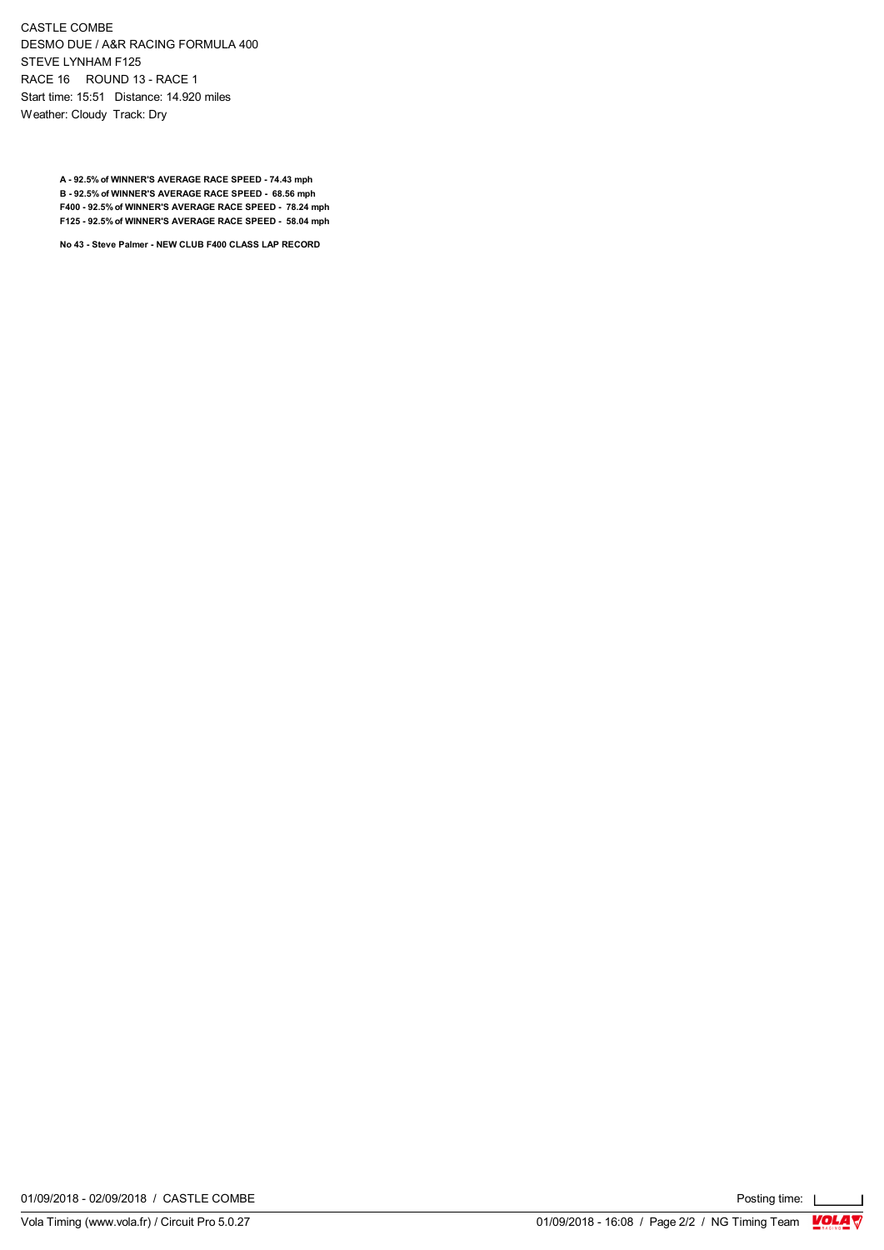CASTLE COMBE DESMO DUE / A&R RACING FORMULA 400 STEVE LYNHAM F125 RACE 16 ROUND 13 - RACE 1 Start time: 15:51 Distance: 14.920 miles Weather: Cloudy Track: Dry

> **A - 92.5% of WINNER'S AVERAGE RACE SPEED - 74.43 mph B - 92.5% of WINNER'S AVERAGE RACE SPEED - 68.56 mph F400 - 92.5% of WINNER'S AVERAGE RACE SPEED - 78.24 mph F125 - 92.5% of WINNER'S AVERAGE RACE SPEED - 58.04 mph**

**No 43 - Steve Palmer - NEW CLUB F400 CLASS LAP RECORD**

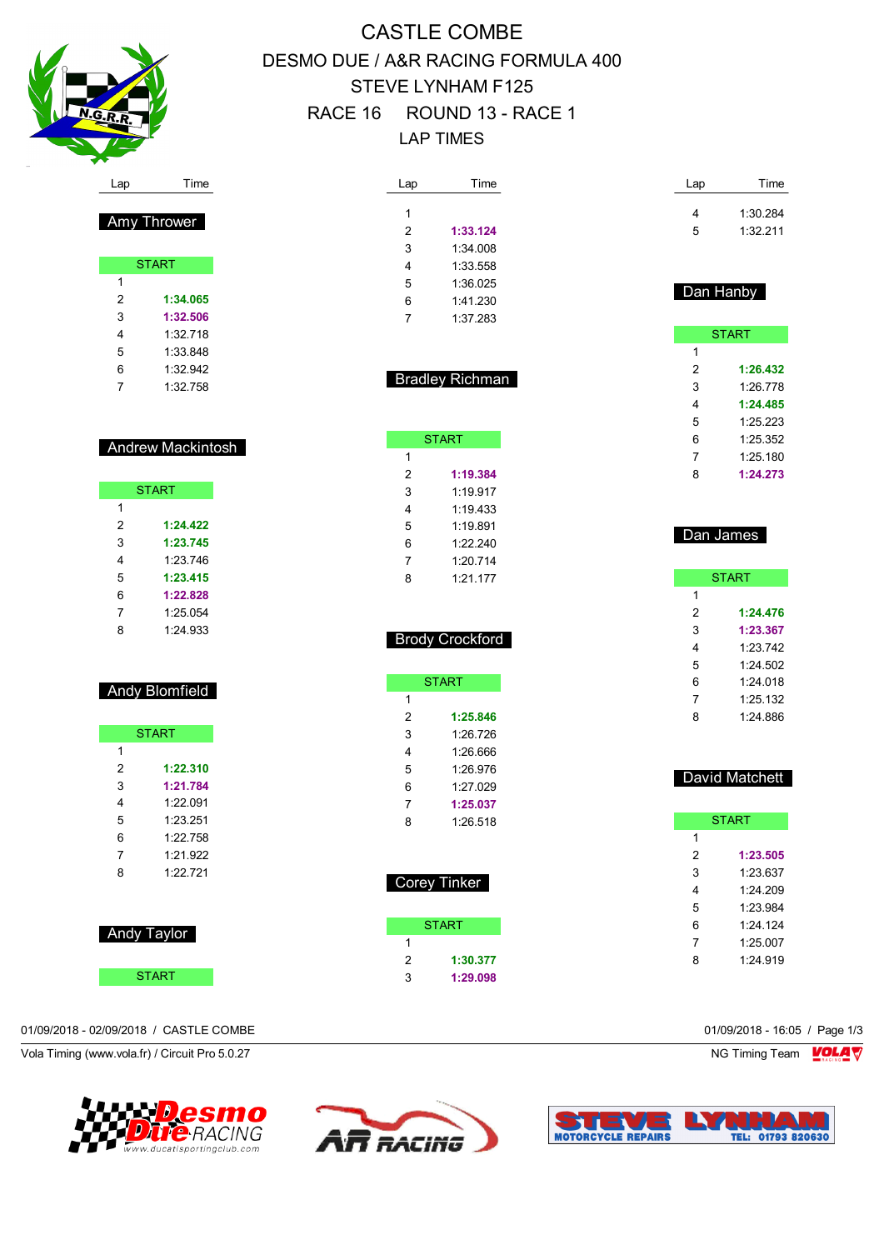

Amy Thrower

**START** 

 **1:34.065 1:32.506** 1:32.718 1:33.848 1:32.942 1:32.758

Andrew Mackintosh

START

 **1:24.422 1:23.745** 1:23.746 **1:23.415 1:22.828** 1:25.054 1:24.933

Andy Blomfield

**START** 

 **1:22.310 1:21.784** 1:22.091 1:23.251 1:22.758 1:21.922 1:22.721

# CASTLE COMBE DESMO DUE / A&R RACING FORMULA 400 STEVE LYNHAM F125 RACE 16 ROUND 13 - RACE 1 LAP TIMES

| Lap            | Time     |  |
|----------------|----------|--|
|                |          |  |
| 1              |          |  |
| $\overline{2}$ | 1:33.124 |  |
| 3              | 1:34008  |  |
| 4              | 1:33.558 |  |
| 5              | 1:36 025 |  |
| 6              | 1:41.230 |  |
| 7              | 1:37 283 |  |
|                |          |  |

Bradley Richman

**START** 

 **1:19.384** 1:19.917 1:19.433 1:19.891 1:22.240 1:20.714 1:21.177

Brody Crockford

**START** 

 **1:25.846** 1:26.726 1:26.666 1:26.976 1:27.029 **1:25.037** 1:26.518

Corey Tinker

**START** 

 **1:30.377 1:29.098**

| Lap | Time     |
|-----|----------|
| 4   | 1:30.284 |
| 5   | 1:32 211 |

# Dan Hanby

|   | <b>START</b> |
|---|--------------|
| 1 |              |
| 2 | 1:26.432     |
| 3 | 1.26 778     |
| 4 | 1:24.485     |
| 5 | 1:25.223     |
| 6 | 1:25.352     |
| 7 | 1:25.180     |
| 8 | 1:24.273     |

## Dan James

|   | <b>START</b> |
|---|--------------|
| 1 |              |
| 2 | 1:24.476     |
| 3 | 1:23.367     |
| 4 | 1:23.742     |
| 5 | 1.24502      |
| 6 | 1:24 018     |
| 7 | 1:25.132     |
| 8 | 1.24886      |

### David Matchett

|   | <b>START</b> |  |
|---|--------------|--|
| 1 |              |  |
| 2 | 1:23.505     |  |
| 3 | 1:23.637     |  |
| 4 | 1.24209      |  |
| 5 | 1.23984      |  |
| 6 | $1.24$ 124   |  |
| 7 | 1:25.007     |  |
| ጸ | 1.24919      |  |
|   |              |  |

START **START** 

Andy Taylor

#### 01/09/2018 - 02/09/2018 / CASTLE COMBE 01/09/2018 - 16:05 / Page 1/3

Vola Timing (www.vola.fr) / Circuit Pro 5.0.27 NG Timing Team Notice that the Subset of the Subset of the Subset of the Subset of the Subset of the Subset of the Subset of the Subset of the Subset of the Subset of the Subs





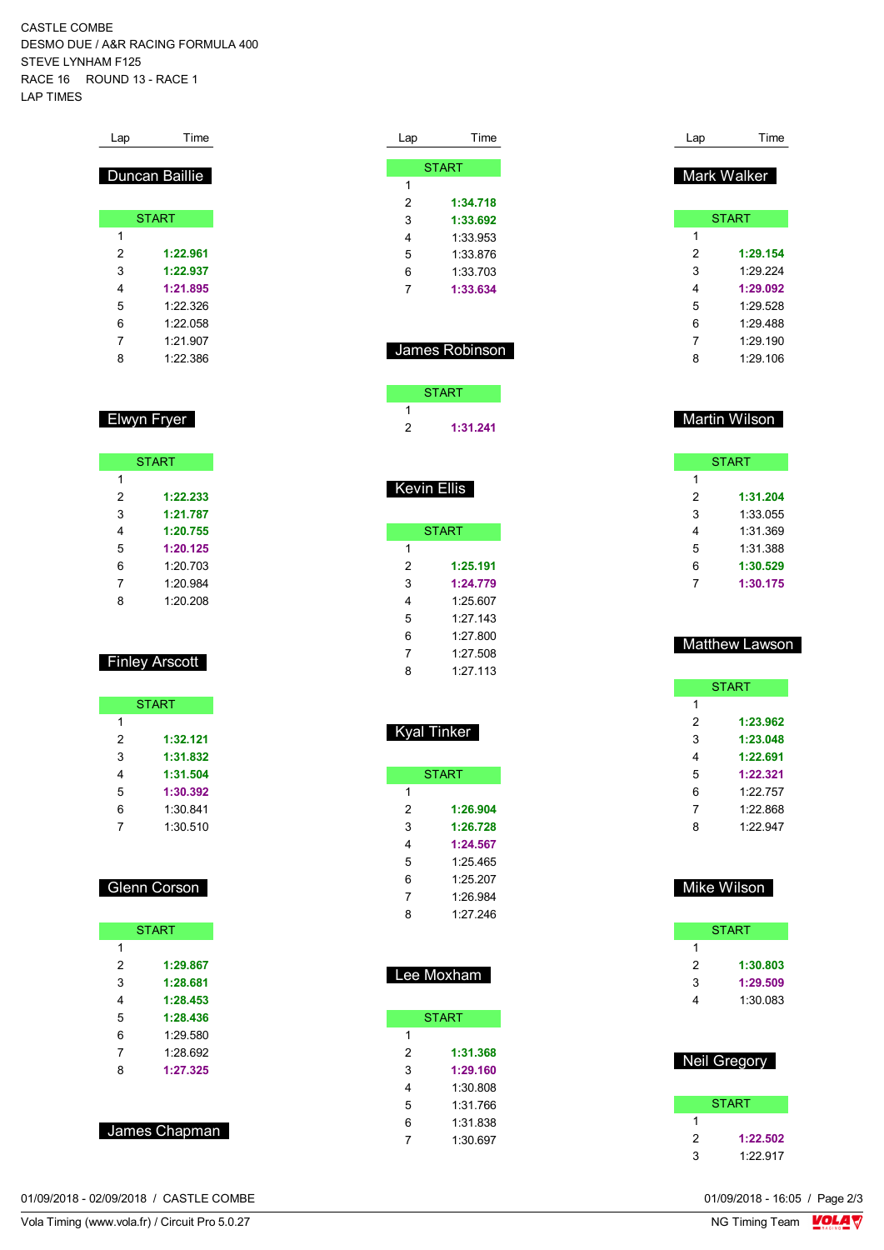CASTLE COMBE DESMO DUE / A&R RACING FORMULA 400 STEVE LYNHAM F125 RACE 16 ROUND 13 - RACE 1 LAP TIMES

| Lap | Time           |
|-----|----------------|
|     |                |
|     | Duncan Baillie |
|     |                |
|     | <b>START</b>   |
| 1   |                |
| 2   | 1:22.961       |
| 3   | 1:22.937       |
| 4   | 1:21.895       |
| 5   | 1.22.326       |
| 6   | 1.22.058       |
| 7   | 1.21907        |
| 8   | 1:22.386       |

# Elwyn Fryer

|   | <b>START</b> |
|---|--------------|
| 1 |              |
| 2 | 1:22.233     |
| 3 | 1:21.787     |
| 4 | 1:20.755     |
| 5 | 1:20.125     |
| 6 | 1:20.703     |
| 7 | 1:20.984     |
| 8 | 1:20.208     |

# Finley Arscott

|   | <b>START</b> |
|---|--------------|
| 1 |              |
| 2 | 1:32.121     |
| 3 | 1:31.832     |
| 4 | 1:31.504     |
| 5 | 1:30.392     |
| 6 | 1:30.841     |
|   | 1:30.510     |

### Glenn Corson

|   | <b>START</b> |
|---|--------------|
| 1 |              |
| 2 | 1:29.867     |
| 3 | 1:28.681     |
| 4 | 1:28.453     |
| 5 | 1:28.436     |
| 6 | 1.29.580     |
| 7 | 1.28692      |
| 8 | 1:27.325     |
|   |              |

| James Chapman |
|---------------|
|               |

01/09/2018 - 02/09/2018 / CASTLE COMBE

|                | <b>START</b>   |
|----------------|----------------|
| 1              |                |
| 2              | 1:34.718       |
| 3              | 1:33.692       |
| 4              | 1:33.953       |
| 5              | 1:33.876       |
| 6              | 1:33.703       |
| $\overline{7}$ | 1:33.634       |
|                |                |
|                | James Robinson |
|                | <b>START</b>   |
| 1              |                |
| 2              | 1:31.241       |

Lap Time

| <b>START</b> |            |
|--------------|------------|
| 1            |            |
| 2            | 1:25.191   |
| 3            | 1:24.779   |
| 4            | 1:25.607   |
| 5            | 1.27.143   |
| 6            | 1.27800    |
| 7            | 1.27508    |
| ጸ            | $1.27$ 113 |

| ъι<br>l inki |
|--------------|
|--------------|

| <b>START</b> |          |  |
|--------------|----------|--|
| 1            |          |  |
| 2            | 1:26.904 |  |
| 3            | 1:26.728 |  |
| 4            | 1:24.567 |  |
| 5            | 1:25.465 |  |
| 6            | 1:25.207 |  |
| 7            | 1:26.984 |  |
| ጸ            | 1.27246  |  |

| Lee Moxham |              |  |
|------------|--------------|--|
|            | <b>START</b> |  |
| 1          |              |  |
| 2          | 1:31.368     |  |
| 3          | 1:29.160     |  |
| 4          | 1:30.808     |  |
| 5          | 1:31 766     |  |
| 6          | 1:31.838     |  |
|            | 1:30.697     |  |

| Lap | Time         |
|-----|--------------|
|     | Mark Walker  |
|     | <b>START</b> |
| 1   |              |
| 2   | 1:29.154     |
| 3   | 1.29.224     |
| 4   | 1:29.092     |
| 5   | 1.29.528     |
| 6   | 1.29 488     |
| 7   | 1.29 190     |
| 8   | 1.29 106     |

# Martin Wilson

| <b>START</b> |          |
|--------------|----------|
| 1            |          |
| 2            | 1:31.204 |
| 3            | 1:33.055 |
| 4            | 1:31.369 |
| 5            | 1:31.388 |
| 6            | 1:30.529 |
| 7            | 1:30.175 |

## Matthew Lawson

| <b>START</b> |          |
|--------------|----------|
| 1            |          |
| 2            | 1:23.962 |
| 3            | 1:23.048 |
| 4            | 1:22.691 |
| 5            | 1:22.321 |
| 6            | 1.22 757 |
| 7            | 1.22.868 |
| ጸ            | 1.22947  |
|              |          |

## Mike Wilson

|   | <b>START</b> |
|---|--------------|
| 1 |              |
| 2 | 1:30.803     |
| 3 | 1:29.509     |
| 4 | 1:30.083     |
|   |              |

| <b>Neil Gregory</b> |          |
|---------------------|----------|
|                     | START    |
|                     |          |
| 2                   | 1:22.502 |
| J,                  | 1.22 917 |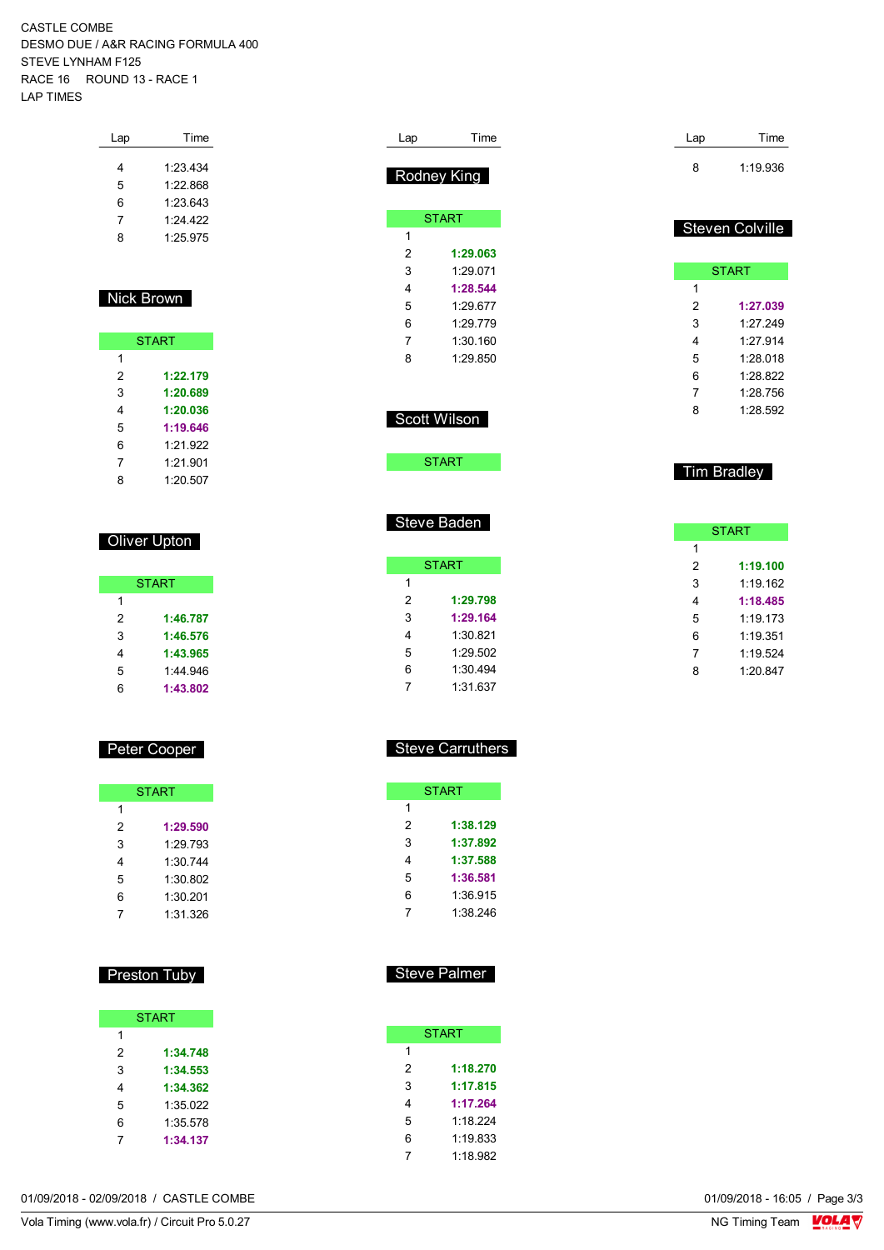CASTLE COMBE DESMO DUE / A&R RACING FORMULA 400 STEVE LYNHAM F125 RACE 16 ROUND 13 - RACE 1 LAP TIMES

| Lap | Time     |
|-----|----------|
| 4   | 1.23 434 |
| 5   | 1.22.868 |
| 6   | 1.23643  |
| 7   | 1.24 422 |
| 8   | 1.25 975 |
|     |          |

## Nick Brown

| <b>START</b> |          |  |
|--------------|----------|--|
| 1            |          |  |
| 2            | 1:22.179 |  |
| 3            | 1:20.689 |  |
| 4            | 1:20.036 |  |
| 5            | 1:19.646 |  |
| 6            | 1.21922  |  |
| 7            | 1:21.901 |  |
| 8            | 1:20.507 |  |

## **Oliver Upton**

| <b>START</b> |          |  |
|--------------|----------|--|
| 1            |          |  |
| 2            | 1:46.787 |  |
| 3            | 1:46.576 |  |
| 4            | 1:43.965 |  |
| 5            | 1:44 946 |  |
| հ            | 1:43.802 |  |

## Peter Cooper

| <b>START</b> |          |  |  |  |  |  |  |  |  |  |
|--------------|----------|--|--|--|--|--|--|--|--|--|
| 1            |          |  |  |  |  |  |  |  |  |  |
| 2            | 1:29.590 |  |  |  |  |  |  |  |  |  |
| 3            | 1.29 793 |  |  |  |  |  |  |  |  |  |
| 4            | 1:30.744 |  |  |  |  |  |  |  |  |  |
| 5            | 1:30.802 |  |  |  |  |  |  |  |  |  |
| 6            | 1:30.201 |  |  |  |  |  |  |  |  |  |
|              | 1:31.326 |  |  |  |  |  |  |  |  |  |

# Preston Tuby

|   | <b>START</b> |
|---|--------------|
| 1 |              |
| 2 | 1:34.748     |
| 3 | 1:34.553     |
| 4 | 1:34.362     |
| 5 | 1:35.022     |
| 6 | 1:35.578     |
|   | 1:34.137     |

| Lap            | Time         | Lap            | Time               |
|----------------|--------------|----------------|--------------------|
|                |              | 8              | 1:19.936           |
|                | Rodney King  |                |                    |
|                |              |                |                    |
|                | <b>START</b> |                |                    |
| 1              |              |                | Steven Colville    |
| $\overline{2}$ | 1:29.063     |                |                    |
| 3              | 1:29.071     |                | <b>START</b>       |
| 4              | 1:28.544     | 1              |                    |
| 5              | 1:29.677     | $\overline{2}$ | 1:27.039           |
| 6              | 1:29.779     | 3              | 1:27.249           |
| 7              | 1:30.160     | 4              | 1:27.914           |
| 8              | 1:29.850     | 5              | 1:28.018           |
|                |              | 6              | 1:28.822           |
|                |              | 7              | 1:28.756           |
|                | Scott Wilson | 8              | 1:28.592           |
|                |              |                |                    |
|                |              |                |                    |
|                | <b>START</b> |                | <b>Tim Bradley</b> |
|                |              |                |                    |
|                |              |                |                    |
|                | Steve Baden  |                |                    |
|                |              |                | <b>START</b>       |
|                |              | 1              |                    |
|                | <b>START</b> | $\overline{2}$ | 1:19.100           |
| 1              |              | 3              | 1:19.162           |
| $\overline{2}$ | 1:29.798     | 4              | 1:18.485           |
| 3              | 1:29.164     | 5              | 1:19.173           |
| 4              | 1:30.821     | 6              | 1:19.351           |
| 5              | 1:29.502     | 7              | 1:19.524           |

## Steve Carruthers

 1:30.494 1:31.637

|   | <b>START</b> |  |  |  |  |  |  |  |  |  |  |
|---|--------------|--|--|--|--|--|--|--|--|--|--|
| 1 |              |  |  |  |  |  |  |  |  |  |  |
| 2 | 1:38.129     |  |  |  |  |  |  |  |  |  |  |
| 3 | 1:37.892     |  |  |  |  |  |  |  |  |  |  |
| 4 | 1:37.588     |  |  |  |  |  |  |  |  |  |  |
| 5 | 1:36.581     |  |  |  |  |  |  |  |  |  |  |
| 6 | 1:36.915     |  |  |  |  |  |  |  |  |  |  |
|   | 1:38.246     |  |  |  |  |  |  |  |  |  |  |

# Steve Palmer

| <b>START</b> |          |  |  |  |  |  |  |  |  |  |
|--------------|----------|--|--|--|--|--|--|--|--|--|
| 1            |          |  |  |  |  |  |  |  |  |  |
| 2            | 1:18.270 |  |  |  |  |  |  |  |  |  |
| 3            | 1:17.815 |  |  |  |  |  |  |  |  |  |
| 4            | 1:17.264 |  |  |  |  |  |  |  |  |  |
| 5            | 1:18.224 |  |  |  |  |  |  |  |  |  |
| 6            | 1:19.833 |  |  |  |  |  |  |  |  |  |
|              | 1:18.982 |  |  |  |  |  |  |  |  |  |

01/09/2018 - 02/09/2018 / CASTLE COMBE

Vola Timing (www.vola.fr) / Circuit Pro 5.0.27

1:20.847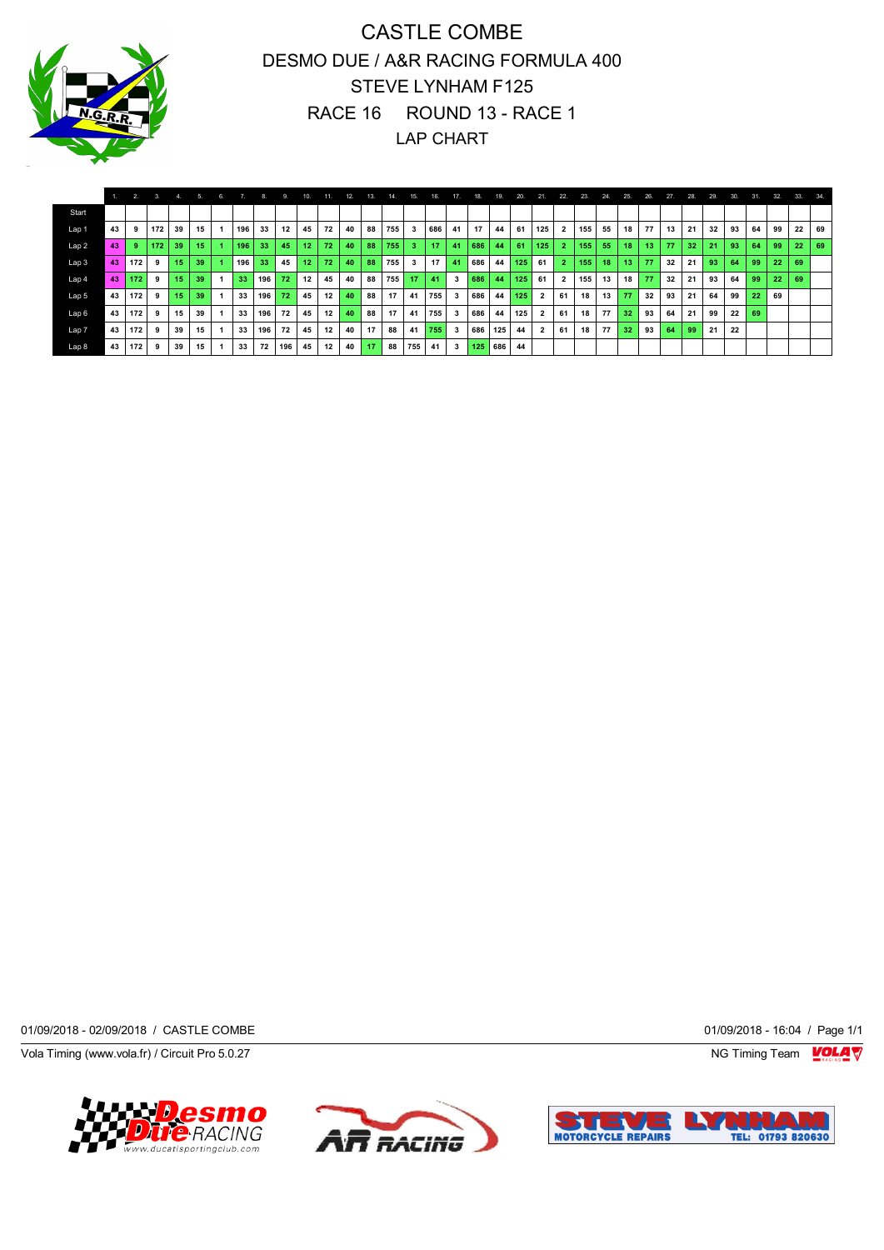

# CASTLE COMBE DESMO DUE / A&R RACING FORMULA 400 STEVE LYNHAM F125 RACE 16 ROUND 13 - RACE 1 LAP CHART

|                  |    | 2.  | 3   |    |     |     |     | 9.              | 10.             | 11.             | 12 | 13. | 14. | 15. | 16. | -17.         | 18. | 19. | 20. | 21.                     | 22.          | 23. | 24. | 25. | 26.             | 274 | 28. | 29. | 30. | 31. | 32. | 33. | 34. |
|------------------|----|-----|-----|----|-----|-----|-----|-----------------|-----------------|-----------------|----|-----|-----|-----|-----|--------------|-----|-----|-----|-------------------------|--------------|-----|-----|-----|-----------------|-----|-----|-----|-----|-----|-----|-----|-----|
| Start            |    |     |     |    |     |     |     |                 |                 |                 |    |     |     |     |     |              |     |     |     |                         |              |     |     |     |                 |     |     |     |     |     |     |     |     |
| Lap <sub>1</sub> | 43 |     | 172 | 39 | 15  | 196 | 33  | 12              | 45              | 72              | 40 | 88  | 755 | 3   | 686 | 41           | 17  | 44  | 61  | 125                     |              | 155 | 55  | 18  | 77              | 13  | 21  | 32  | 93  | 64  | 99  | 22  | 69  |
| Lap2             | 43 | -9  | 172 | 39 | 15. | 196 | 33  | 45              | 12 <sub>1</sub> | 72 <sub>1</sub> | 40 | 88  | 755 | 3   | 17  | 41           | 686 | 44  | 61  | 125                     | $\mathbf{2}$ | 155 | 55  | 18  | 13 <sup>1</sup> | 77  | 32  | 21  | 93  | 64  | 99  | 22  | 69  |
| Lap 3            | 43 | 172 | 9   | 15 | 39  | 196 | 33  | 45              | 12 <sub>1</sub> | 72              | 40 | 88  | 755 | 3   | 17  | 41           | 686 | 44  | 125 | 61                      |              | 155 | 18  | 13  | 77              | 32  | 21  | 93  | 64  | 99  | 22  | 69  |     |
| Lap <sub>4</sub> | 43 | 172 | 9   | 15 | 39  | 33  | 196 | 72 <sub>1</sub> | 12              | 45              | 40 | 88  | 755 | 17  | 41  | 3            | 686 | 44  | 125 | 61                      |              | 155 | 13  | 18  | 77              | 32  | 21  | 93  | 64  | 99  | 22  | 69  |     |
| Lap 5            | 43 | 172 | 9   | 15 | 39  | 33  | 196 | $72^{\circ}$    | 45              | 12              | 40 | 88  | 17  | 41  | 755 | 3            | 686 | 44  | 125 | $\overline{\mathbf{2}}$ | 61           | 18  | 13  | 77  | 32              | 93  | 21  | 64  | 99  | 22  | 69  |     |     |
| Lap <sub>6</sub> | 43 | 172 | 9   | 15 | 39  | 33  | 196 | 72              | 45              | 12              | 40 | 88  | 17  | 41  | 755 | 3            | 686 | 44  | 125 | $\overline{2}$          | 61           | 18  | 77  | 32  | 93              | 64  | 21  | 99  | 22  | 69  |     |     |     |
| Lap <sub>7</sub> | 43 | 172 | 9   | 39 | 15  | 33  | 196 | 72              | 45              | 12              | 40 | 17  | 88  | 41  | 755 | 3            | 686 | 125 | 44  |                         | 61           | 18  | 77  | 32  | 93              | 64  | 99  | 21  | 22  |     |     |     |     |
| Lap 8            | 43 | 172 | 9   | 39 | 15  | 33  | 72  | 196             | 45              | 12              | 40 | 17  | 88  | 755 | 41  | $\mathbf{3}$ | 125 | 686 | 44  |                         |              |     |     |     |                 |     |     |     |     |     |     |     |     |

01/09/2018 - 02/09/2018 / CASTLE COMBE 01/09/2018 - 16:04 / Page 1/1

Vola Timing (www.vola.fr) / Circuit Pro 5.0.27 NG Timing Team Muslem of the Superior Studies of the Superior Studies of the Superior Studies of the Superior Studies of the Superior Studies of the Superior Studies of the Su